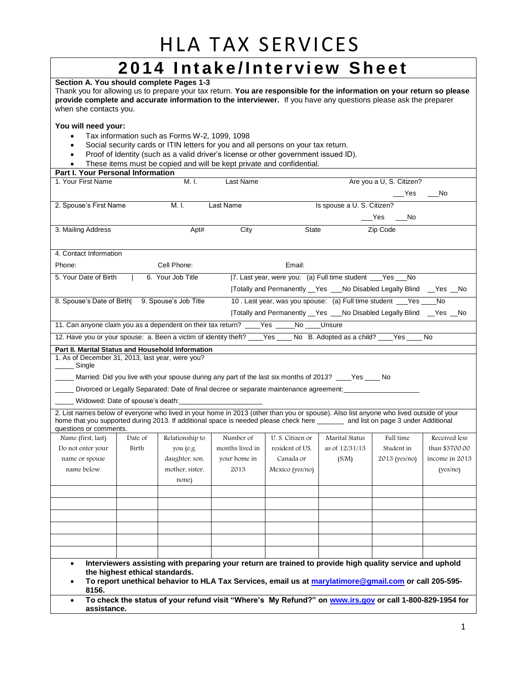### HLA TAX SERVICES **2014 Intake/Interview Sheet**

#### **Section A. You should complete Pages 1-3**

Thank you for allowing us to prepare your tax return. **You are responsible for the information on your return so please provide complete and accurate information to the interviewer.** If you have any questions please ask the preparer when she contacts you.

#### **You will need your:**

- Tax information such as Forms W-2, 1099, 1098
- Social security cards or ITIN letters for you and all persons on your tax return.
- Proof of Identity (such as a valid driver's license or other government issued ID).
- These items must be copied and will be kept private and confidential.

| Part I. Your Personal Information |  |
|-----------------------------------|--|
|-----------------------------------|--|

| 1. Your First Name                                                                                                                                                                                                                                                                                 |         | M. I.                 | Last Name       |                                                                                                          |                            | Are you a U, S. Citizen? |                |
|----------------------------------------------------------------------------------------------------------------------------------------------------------------------------------------------------------------------------------------------------------------------------------------------------|---------|-----------------------|-----------------|----------------------------------------------------------------------------------------------------------|----------------------------|--------------------------|----------------|
|                                                                                                                                                                                                                                                                                                    |         |                       |                 |                                                                                                          |                            | $\_\_\text{Yes}$         | <b>No</b>      |
| 2. Spouse's First Name                                                                                                                                                                                                                                                                             |         | M. I.                 | Last Name       |                                                                                                          | Is spouse a U. S. Citizen? |                          |                |
|                                                                                                                                                                                                                                                                                                    |         |                       |                 |                                                                                                          |                            | $Yes$ ___No              |                |
| 3. Mailing Address                                                                                                                                                                                                                                                                                 |         | Apt#                  | City            | <b>State</b>                                                                                             |                            | Zip Code                 |                |
|                                                                                                                                                                                                                                                                                                    |         |                       |                 |                                                                                                          |                            |                          |                |
| 4. Contact Information                                                                                                                                                                                                                                                                             |         |                       |                 |                                                                                                          |                            |                          |                |
| Phone:                                                                                                                                                                                                                                                                                             |         | Cell Phone:           |                 | Email:                                                                                                   |                            |                          |                |
| 5. Your Date of Birth                                                                                                                                                                                                                                                                              |         | 6. Your Job Title     |                 | [7. Last year, were you: (a) Full time student ___Yes ___No                                              |                            |                          |                |
|                                                                                                                                                                                                                                                                                                    |         |                       |                 | Totally and Permanently _Yes __No Disabled Legally Blind _Yes _No                                        |                            |                          |                |
| 8. Spouse's Date of Birth                                                                                                                                                                                                                                                                          |         | 9. Spouse's Job Title |                 | 10. Last year, was you spouse: (a) Full time student __Yes __                                            |                            |                          | <b>No</b>      |
|                                                                                                                                                                                                                                                                                                    |         |                       |                 | Totally and Permanently _Yes __No Disabled Legally Blind _Yes _No                                        |                            |                          |                |
| 11. Can anyone claim you as a dependent on their tax return? ____Yes _____No ____Unsure                                                                                                                                                                                                            |         |                       |                 |                                                                                                          |                            |                          |                |
| 12. Have you or your spouse: a. Been a victim of identity theft? ____Yes ____No B. Adopted as a child? ___Yes ____No                                                                                                                                                                               |         |                       |                 |                                                                                                          |                            |                          |                |
| Part II. Marital Status and Household Information                                                                                                                                                                                                                                                  |         |                       |                 |                                                                                                          |                            |                          |                |
| 1. As of December 31, 2013, last year, were you?<br>_____ Single                                                                                                                                                                                                                                   |         |                       |                 |                                                                                                          |                            |                          |                |
| Married: Did you live with your spouse during any part of the last six months of 2013? ____Yes _____ No                                                                                                                                                                                            |         |                       |                 |                                                                                                          |                            |                          |                |
|                                                                                                                                                                                                                                                                                                    |         |                       |                 | Divorced or Legally Separated: Date of final decree or separate maintenance agreement:                   |                            |                          |                |
| _____ Widowed: Date of spouse's death:                                                                                                                                                                                                                                                             |         |                       |                 |                                                                                                          |                            |                          |                |
| 2. List names below of everyone who lived in your home in 2013 (other than you or spouse). Also list anyone who lived outside of your<br>home that you supported during 2013. If additional space is needed please check here ______ and list on page 3 under Additional<br>questions or comments. |         |                       |                 |                                                                                                          |                            |                          |                |
| Name (first, last)                                                                                                                                                                                                                                                                                 | Date of | Relationship to       | Number of       | U. S. Citizen or                                                                                         | Marital Status             | Full time                | Received less  |
| Do not enter your                                                                                                                                                                                                                                                                                  | Birth   | you (e.g.             | months lived in | resident of US,                                                                                          | as of 12/31/13             | Student in               | than \$3700.00 |
| name or spouse                                                                                                                                                                                                                                                                                     |         | daughter, son,        | your home in    | Canada or                                                                                                | (S/M)                      | 2013 (yes/no)            | income in 2013 |
| name below.                                                                                                                                                                                                                                                                                        |         | mother, sister,       | 2013            | Mexico (yes/no)                                                                                          |                            |                          | (yes/no)       |
|                                                                                                                                                                                                                                                                                                    |         | none)                 |                 |                                                                                                          |                            |                          |                |
|                                                                                                                                                                                                                                                                                                    |         |                       |                 |                                                                                                          |                            |                          |                |
|                                                                                                                                                                                                                                                                                                    |         |                       |                 |                                                                                                          |                            |                          |                |
|                                                                                                                                                                                                                                                                                                    |         |                       |                 |                                                                                                          |                            |                          |                |
|                                                                                                                                                                                                                                                                                                    |         |                       |                 |                                                                                                          |                            |                          |                |
|                                                                                                                                                                                                                                                                                                    |         |                       |                 |                                                                                                          |                            |                          |                |
|                                                                                                                                                                                                                                                                                                    |         |                       |                 |                                                                                                          |                            |                          |                |
| $\bullet$                                                                                                                                                                                                                                                                                          |         |                       |                 | Interviewers assisting with preparing your return are trained to provide high quality service and uphold |                            |                          |                |
| the highest ethical standards.                                                                                                                                                                                                                                                                     |         |                       |                 |                                                                                                          |                            |                          |                |
| To report unethical behavior to HLA Tax Services, email us at marylatimore@gmail.com or call 205-595-                                                                                                                                                                                              |         |                       |                 |                                                                                                          |                            |                          |                |
| 8156.<br>$\bullet$                                                                                                                                                                                                                                                                                 |         |                       |                 |                                                                                                          |                            |                          |                |
| To check the status of your refund visit "Where's My Refund?" on www.irs.gov or call 1-800-829-1954 for<br>assistance.                                                                                                                                                                             |         |                       |                 |                                                                                                          |                            |                          |                |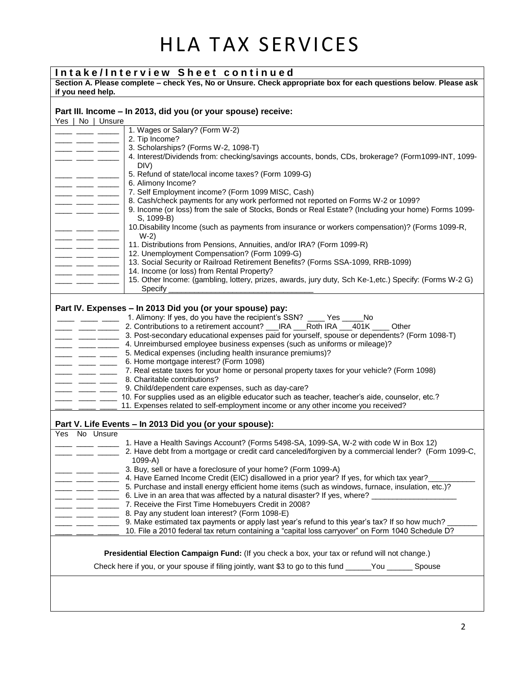## HLA TAX SERVICES

| Intake/Interview Sheet continued                                                                                                      |                                                                                                                                                                                                                                                                                                                                                                                                                       |                                                                                                                                            |  |  |  |  |
|---------------------------------------------------------------------------------------------------------------------------------------|-----------------------------------------------------------------------------------------------------------------------------------------------------------------------------------------------------------------------------------------------------------------------------------------------------------------------------------------------------------------------------------------------------------------------|--------------------------------------------------------------------------------------------------------------------------------------------|--|--|--|--|
| Section A. Please complete – check Yes, No or Unsure. Check appropriate box for each questions below. Please ask<br>if you need help. |                                                                                                                                                                                                                                                                                                                                                                                                                       |                                                                                                                                            |  |  |  |  |
|                                                                                                                                       | Part III. Income - In 2013, did you (or your spouse) receive:<br>Yes   No   Unsure                                                                                                                                                                                                                                                                                                                                    |                                                                                                                                            |  |  |  |  |
|                                                                                                                                       |                                                                                                                                                                                                                                                                                                                                                                                                                       | 1. Wages or Salary? (Form W-2)                                                                                                             |  |  |  |  |
|                                                                                                                                       |                                                                                                                                                                                                                                                                                                                                                                                                                       | 2. Tip Income?                                                                                                                             |  |  |  |  |
|                                                                                                                                       |                                                                                                                                                                                                                                                                                                                                                                                                                       | 3. Scholarships? (Forms W-2, 1098-T)<br>4. Interest/Dividends from: checking/savings accounts, bonds, CDs, brokerage? (Form1099-INT, 1099- |  |  |  |  |
|                                                                                                                                       |                                                                                                                                                                                                                                                                                                                                                                                                                       | DIV)                                                                                                                                       |  |  |  |  |
|                                                                                                                                       |                                                                                                                                                                                                                                                                                                                                                                                                                       | 5. Refund of state/local income taxes? (Form 1099-G)                                                                                       |  |  |  |  |
|                                                                                                                                       | _____ ____ ____                                                                                                                                                                                                                                                                                                                                                                                                       | 6. Alimony Income?                                                                                                                         |  |  |  |  |
|                                                                                                                                       |                                                                                                                                                                                                                                                                                                                                                                                                                       | 7. Self Employment income? (Form 1099 MISC, Cash)<br>8. Cash/check payments for any work performed not reported on Forms W-2 or 1099?      |  |  |  |  |
|                                                                                                                                       |                                                                                                                                                                                                                                                                                                                                                                                                                       | 9. Income (or loss) from the sale of Stocks, Bonds or Real Estate? (Including your home) Forms 1099-                                       |  |  |  |  |
|                                                                                                                                       |                                                                                                                                                                                                                                                                                                                                                                                                                       | S, 1099-B)                                                                                                                                 |  |  |  |  |
|                                                                                                                                       |                                                                                                                                                                                                                                                                                                                                                                                                                       | 10. Disability Income (such as payments from insurance or workers compensation)? (Forms 1099-R,<br>$W-2)$                                  |  |  |  |  |
|                                                                                                                                       | ____ ____ ___                                                                                                                                                                                                                                                                                                                                                                                                         | 11. Distributions from Pensions, Annuities, and/or IRA? (Form 1099-R)                                                                      |  |  |  |  |
|                                                                                                                                       | $\overline{\phantom{a}}$ and $\overline{\phantom{a}}$                                                                                                                                                                                                                                                                                                                                                                 | 12. Unemployment Compensation? (Form 1099-G)                                                                                               |  |  |  |  |
|                                                                                                                                       |                                                                                                                                                                                                                                                                                                                                                                                                                       | 13. Social Security or Railroad Retirement Benefits? (Forms SSA-1099, RRB-1099)<br>14. Income (or loss) from Rental Property?              |  |  |  |  |
|                                                                                                                                       |                                                                                                                                                                                                                                                                                                                                                                                                                       | 15. Other Income: (gambling, lottery, prizes, awards, jury duty, Sch Ke-1, etc.) Specify: (Forms W-2 G)                                    |  |  |  |  |
|                                                                                                                                       |                                                                                                                                                                                                                                                                                                                                                                                                                       | Specify _                                                                                                                                  |  |  |  |  |
|                                                                                                                                       |                                                                                                                                                                                                                                                                                                                                                                                                                       | Part IV. Expenses - In 2013 Did you (or your spouse) pay:                                                                                  |  |  |  |  |
|                                                                                                                                       |                                                                                                                                                                                                                                                                                                                                                                                                                       | 1. Alimony: If yes, do you have the recipient's SSN? ____ Yes _____ No                                                                     |  |  |  |  |
|                                                                                                                                       |                                                                                                                                                                                                                                                                                                                                                                                                                       | 2. Contributions to a retirement account? ___ IRA ___Roth IRA ___401K _____ Other                                                          |  |  |  |  |
|                                                                                                                                       |                                                                                                                                                                                                                                                                                                                                                                                                                       | 3. Post-secondary educational expenses paid for yourself, spouse or dependents? (Form 1098-T)                                              |  |  |  |  |
|                                                                                                                                       |                                                                                                                                                                                                                                                                                                                                                                                                                       | 4. Unreimbursed employee business expenses (such as uniforms or mileage)?                                                                  |  |  |  |  |
|                                                                                                                                       | $\frac{1}{1-\frac{1}{1-\frac{1}{1-\frac{1}{1-\frac{1}{1-\frac{1}{1-\frac{1}{1-\frac{1}{1-\frac{1}{1-\frac{1}{1-\frac{1}{1-\frac{1}{1-\frac{1}{1-\frac{1}{1-\frac{1}{1-\frac{1}{1-\frac{1}{1-\frac{1}{1-\frac{1}{1-\frac{1}{1-\frac{1}{1-\frac{1}{1-\frac{1}{1-\frac{1}{1-\frac{1}{1-\frac{1}{1-\frac{1}{1-\frac{1}{1-\frac{1}{1-\frac{1}{1-\frac{1}{1-\frac{1}{1-\frac{1}{1-\frac{1}{1-\frac{1}{1-\frac{1}{1-\frac{1$ | 5. Medical expenses (including health insurance premiums)?<br>6. Home mortgage interest? (Form 1098)                                       |  |  |  |  |
|                                                                                                                                       |                                                                                                                                                                                                                                                                                                                                                                                                                       | 7. Real estate taxes for your home or personal property taxes for your vehicle? (Form 1098)                                                |  |  |  |  |
|                                                                                                                                       |                                                                                                                                                                                                                                                                                                                                                                                                                       | 8. Charitable contributions?                                                                                                               |  |  |  |  |
|                                                                                                                                       |                                                                                                                                                                                                                                                                                                                                                                                                                       | 9. Child/dependent care expenses, such as day-care?                                                                                        |  |  |  |  |
|                                                                                                                                       |                                                                                                                                                                                                                                                                                                                                                                                                                       | 10. For supplies used as an eligible educator such as teacher, teacher's aide, counselor, etc.?                                            |  |  |  |  |
|                                                                                                                                       |                                                                                                                                                                                                                                                                                                                                                                                                                       | 11. Expenses related to self-employment income or any other income you received?                                                           |  |  |  |  |
|                                                                                                                                       |                                                                                                                                                                                                                                                                                                                                                                                                                       | Part V. Life Events - In 2013 Did you (or your spouse):                                                                                    |  |  |  |  |
|                                                                                                                                       | Yes No Unsure                                                                                                                                                                                                                                                                                                                                                                                                         | 1. Have a Health Savings Account? (Forms 5498-SA, 1099-SA, W-2 with code W in Box 12)                                                      |  |  |  |  |
|                                                                                                                                       |                                                                                                                                                                                                                                                                                                                                                                                                                       | 2. Have debt from a mortgage or credit card canceled/forgiven by a commercial lender? (Form 1099-C,<br>$1099 - A$                          |  |  |  |  |
|                                                                                                                                       |                                                                                                                                                                                                                                                                                                                                                                                                                       | 3. Buy, sell or have a foreclosure of your home? (Form 1099-A)                                                                             |  |  |  |  |
|                                                                                                                                       |                                                                                                                                                                                                                                                                                                                                                                                                                       | 4. Have Earned Income Credit (EIC) disallowed in a prior year? If yes, for which tax year?_______                                          |  |  |  |  |
|                                                                                                                                       |                                                                                                                                                                                                                                                                                                                                                                                                                       | 5. Purchase and install energy efficient home items (such as windows, furnace, insulation, etc.)?                                          |  |  |  |  |
|                                                                                                                                       |                                                                                                                                                                                                                                                                                                                                                                                                                       | 6. Live in an area that was affected by a natural disaster? If yes, where?                                                                 |  |  |  |  |
|                                                                                                                                       | $  -$                                                                                                                                                                                                                                                                                                                                                                                                                 | 7. Receive the First Time Homebuyers Credit in 2008?<br>8. Pay any student loan interest? (Form 1098-E)                                    |  |  |  |  |
|                                                                                                                                       |                                                                                                                                                                                                                                                                                                                                                                                                                       | 9. Make estimated tax payments or apply last year's refund to this year's tax? If so how much?                                             |  |  |  |  |
|                                                                                                                                       |                                                                                                                                                                                                                                                                                                                                                                                                                       | 10. File a 2010 federal tax return containing a "capital loss carryover" on Form 1040 Schedule D?                                          |  |  |  |  |
| Presidential Election Campaign Fund: (If you check a box, your tax or refund will not change.)                                        |                                                                                                                                                                                                                                                                                                                                                                                                                       |                                                                                                                                            |  |  |  |  |
|                                                                                                                                       |                                                                                                                                                                                                                                                                                                                                                                                                                       |                                                                                                                                            |  |  |  |  |
|                                                                                                                                       |                                                                                                                                                                                                                                                                                                                                                                                                                       | Check here if you, or your spouse if filing jointly, want \$3 to go to this fund ______You _______ Spouse                                  |  |  |  |  |
|                                                                                                                                       |                                                                                                                                                                                                                                                                                                                                                                                                                       |                                                                                                                                            |  |  |  |  |
|                                                                                                                                       |                                                                                                                                                                                                                                                                                                                                                                                                                       |                                                                                                                                            |  |  |  |  |
|                                                                                                                                       |                                                                                                                                                                                                                                                                                                                                                                                                                       |                                                                                                                                            |  |  |  |  |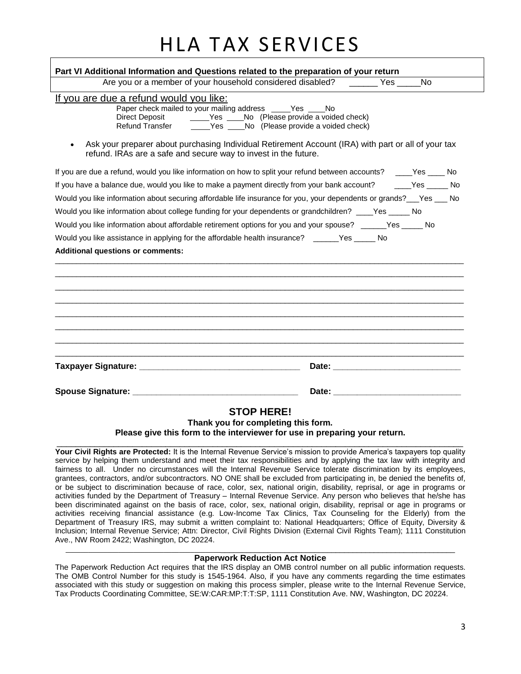## HLA TAX SERVICES

| Part VI Additional Information and Questions related to the preparation of your return                                                                                                                                                                                                                                                                    |    |  |  |  |
|-----------------------------------------------------------------------------------------------------------------------------------------------------------------------------------------------------------------------------------------------------------------------------------------------------------------------------------------------------------|----|--|--|--|
| Are you or a member of your household considered disabled? _________ Yes ______                                                                                                                                                                                                                                                                           | No |  |  |  |
| If you are due a refund would you like:<br>Paper check mailed to your mailing address _____Yes ____No<br><b>Refund Transfer</b><br>Yes ______No (Please provide a voided check)<br>Ask your preparer about purchasing Individual Retirement Account (IRA) with part or all of your tax<br>refund. IRAs are a safe and secure way to invest in the future. |    |  |  |  |
| If you are due a refund, would you like information on how to split your refund between accounts? ____Yes ____No                                                                                                                                                                                                                                          |    |  |  |  |
| If you have a balance due, would you like to make a payment directly from your bank account? ______Yes ______ No                                                                                                                                                                                                                                          |    |  |  |  |
| Would you like information about securing affordable life insurance for you, your dependents or grands? Fes Po                                                                                                                                                                                                                                            |    |  |  |  |
| Would you like information about college funding for your dependents or grandchildren? ____Yes _____ No                                                                                                                                                                                                                                                   |    |  |  |  |
| Would you like information about affordable retirement options for you and your spouse? ______Yes _____ No                                                                                                                                                                                                                                                |    |  |  |  |
| Would you like assistance in applying for the affordable health insurance? ______Yes _____ No                                                                                                                                                                                                                                                             |    |  |  |  |
| <b>Additional questions or comments:</b>                                                                                                                                                                                                                                                                                                                  |    |  |  |  |
|                                                                                                                                                                                                                                                                                                                                                           |    |  |  |  |
|                                                                                                                                                                                                                                                                                                                                                           |    |  |  |  |
|                                                                                                                                                                                                                                                                                                                                                           |    |  |  |  |
| <b>STOP HERE!</b>                                                                                                                                                                                                                                                                                                                                         |    |  |  |  |

**Thank you for completing this form.**

**Please give this form to the interviewer for use in preparing your return.**  $\Box$ 

**Your Civil Rights are Protected:** It is the Internal Revenue Service's mission to provide America's taxpayers top quality service by helping them understand and meet their tax responsibilities and by applying the tax law with integrity and fairness to all. Under no circumstances will the Internal Revenue Service tolerate discrimination by its employees, grantees, contractors, and/or subcontractors. NO ONE shall be excluded from participating in, be denied the benefits of, or be subject to discrimination because of race, color, sex, national origin, disability, reprisal, or age in programs or activities funded by the Department of Treasury – Internal Revenue Service. Any person who believes that he/she has been discriminated against on the basis of race, color, sex, national origin, disability, reprisal or age in programs or activities receiving financial assistance (e.g. Low-Income Tax Clinics, Tax Counseling for the Elderly) from the Department of Treasury IRS, may submit a written complaint to: National Headquarters; Office of Equity, Diversity & Inclusion; Internal Revenue Service; Attn: Director, Civil Rights Division (External Civil Rights Team); 1111 Constitution Ave., NW Room 2422; Washington, DC 20224.

#### $\_$  ,  $\_$  ,  $\_$  ,  $\_$  ,  $\_$  ,  $\_$  ,  $\_$  ,  $\_$  ,  $\_$  ,  $\_$  ,  $\_$  ,  $\_$  ,  $\_$  ,  $\_$  ,  $\_$  ,  $\_$  ,  $\_$  ,  $\_$  ,  $\_$  ,  $\_$  ,  $\_$  ,  $\_$  ,  $\_$  ,  $\_$  ,  $\_$  ,  $\_$  ,  $\_$  ,  $\_$  ,  $\_$  ,  $\_$  ,  $\_$  ,  $\_$  ,  $\_$  ,  $\_$  ,  $\_$  ,  $\_$  ,  $\_$  , **Paperwork Reduction Act Notice**

The Paperwork Reduction Act requires that the IRS display an OMB control number on all public information requests. The OMB Control Number for this study is 1545-1964. Also, if you have any comments regarding the time estimates associated with this study or suggestion on making this process simpler, please write to the Internal Revenue Service, Tax Products Coordinating Committee, SE:W:CAR:MP:T:T:SP, 1111 Constitution Ave. NW, Washington, DC 20224.